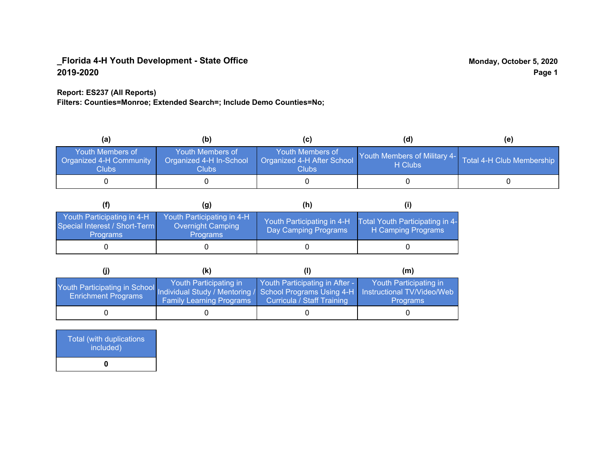### **Report: ES237 (All Reports)**

**Filters: Counties=Monroe; Extended Search=; Include Demo Counties=No;**

| (a                                                          | (b)                                                   |                                                           | (d)                                                               | (e) |
|-------------------------------------------------------------|-------------------------------------------------------|-----------------------------------------------------------|-------------------------------------------------------------------|-----|
| Youth Members of<br><b>Organized 4-H Community</b><br>Clubs | Youth Members of<br>Organized 4-H In-School<br>Clubs: | Youth Members of<br>Organized 4-H After School<br>Clubs : | Youth Members of Military 4- Total 4-H Club Membership<br>H Clubs |     |
|                                                             |                                                       |                                                           |                                                                   |     |

|                                                                                | (g)                                                                | (h)                                                |                                                       |
|--------------------------------------------------------------------------------|--------------------------------------------------------------------|----------------------------------------------------|-------------------------------------------------------|
| Youth Participating in 4-H<br>Special Interest / Short-Term<br><b>Programs</b> | Youth Participating in 4-H<br>Overnight Camping<br><b>Programs</b> | Youth Participating in 4-H<br>Day Camping Programs | Total Youth Participating in 4-<br>H Camping Programs |
|                                                                                |                                                                    |                                                    |                                                       |

|                                                                                                                                                 | (K)                                                       |                                                                     | (m)                                       |
|-------------------------------------------------------------------------------------------------------------------------------------------------|-----------------------------------------------------------|---------------------------------------------------------------------|-------------------------------------------|
| Youth Participating in School Individual Study / Mentoring / School Programs Using 4-H Instructional TV/Video/Web<br><b>Enrichment Programs</b> | Youth Participating in<br><b>Family Learning Programs</b> | Youth Participating in After -<br><b>Curricula / Staff Training</b> | Youth Participating in<br><b>Programs</b> |
|                                                                                                                                                 |                                                           |                                                                     |                                           |

| Total (with duplications<br>included) |
|---------------------------------------|
| n                                     |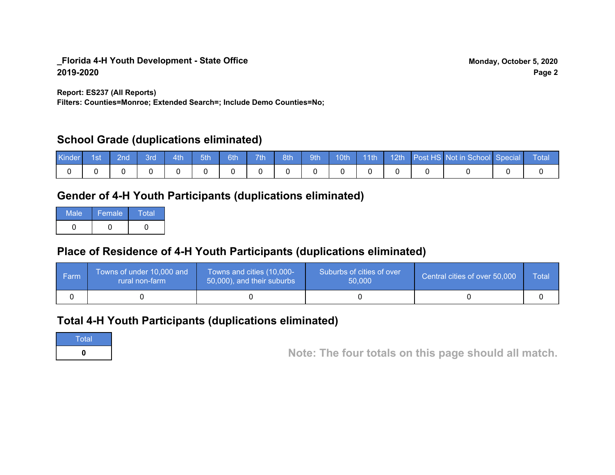**Report: ES237 (All Reports)**

**Filters: Counties=Monroe; Extended Search=; Include Demo Counties=No;**

## **School Grade (duplications eliminated)**

| <b>Kinder</b> | ⊟1st | ∣ 2nd | ⊟3rd | $-4th$ | $-5th$ | 6th | 7th | $\vert$ 8th | 9th |  |  | 10th 11th 12th Post HS Not in School Special Total |  |
|---------------|------|-------|------|--------|--------|-----|-----|-------------|-----|--|--|----------------------------------------------------|--|
|               |      |       |      |        |        |     |     |             |     |  |  |                                                    |  |

# **Gender of 4-H Youth Participants (duplications eliminated)**

| Male | Female | Total |
|------|--------|-------|
|      |        |       |

# **Place of Residence of 4-H Youth Participants (duplications eliminated)**

| ∣ Farm | Towns of under 10,000 and<br>⊾rural non-farm \ | Towns and cities (10,000-<br>$\sqrt{50,000}$ , and their suburbs | Suburbs of cities of over<br>50,000 | Central cities of over 50,000 | Total |
|--------|------------------------------------------------|------------------------------------------------------------------|-------------------------------------|-------------------------------|-------|
|        |                                                |                                                                  |                                     |                               |       |

## **Total 4-H Youth Participants (duplications eliminated)**

**Total** 

**<sup>0</sup> Note: The four totals on this page should all match.**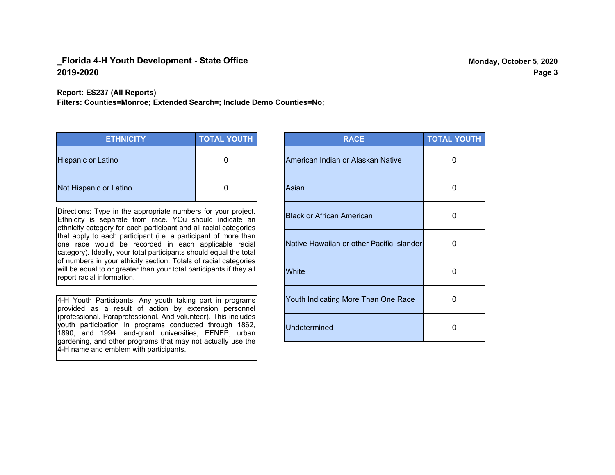#### **Report: ES237 (All Reports)**

**Filters: Counties=Monroe; Extended Search=; Include Demo Counties=No;**

| <b>ETHNICITY</b>       | <b>TOTAL YOUTH</b> |
|------------------------|--------------------|
| Hispanic or Latino     | 0                  |
| Not Hispanic or Latino | $\Box$             |

Directions: Type in the appropriate numbers for your project. Ethnicity is separate from race. YOu should indicate an ethnicity category for each participant and all racial categories that apply to each participant (i.e. a participant of more than one race would be recorded in each applicable racial category). Ideally, your total participants should equal the total of numbers in your ethicity section. Totals of racial categories will be equal to or greater than your total participants if they all report racial information.

4-H Youth Participants: Any youth taking part in programs provided as a result of action by extension personnel (professional. Paraprofessional. And volunteer). This includes youth participation in programs conducted through 1862, 1890, and 1994 land-grant universities, EFNEP, urban gardening, and other programs that may not actually use the 4-H name and emblem with participants.

| <b>RACE</b>                               | <b>TOTAL YOUTH</b> |
|-------------------------------------------|--------------------|
| American Indian or Alaskan Native         | O                  |
| Asian                                     | 0                  |
| <b>Black or African American</b>          | U                  |
| Native Hawaiian or other Pacific Islander | 0                  |
| White                                     | 0                  |
| Youth Indicating More Than One Race       | 0                  |
| <b>Undetermined</b>                       | 0                  |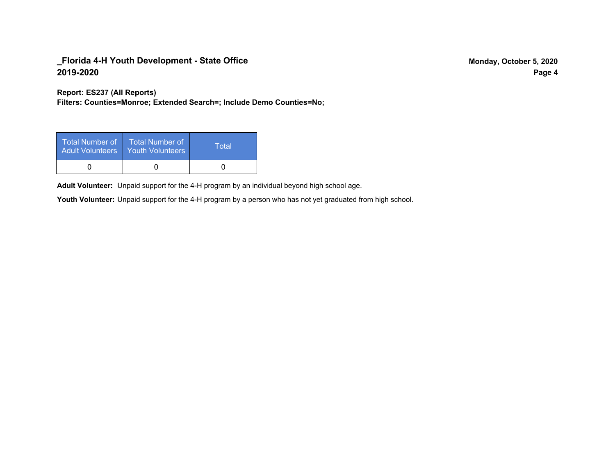**Report: ES237 (All Reports)**

**Filters: Counties=Monroe; Extended Search=; Include Demo Counties=No;**

| <b>Total Number of</b><br><b>Adult Volunteers</b> | <b>Total Number of</b><br><b>Youth Volunteers</b> | Total |
|---------------------------------------------------|---------------------------------------------------|-------|
|                                                   |                                                   |       |

Adult Volunteer: Unpaid support for the 4-H program by an individual beyond high school age.

Youth Volunteer: Unpaid support for the 4-H program by a person who has not yet graduated from high school.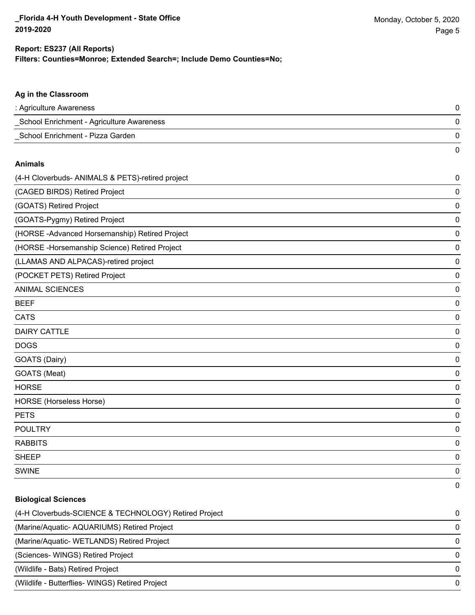0

#### **Filters: Counties=Monroe; Extended Search=; Include Demo Counties=No; Report: ES237 (All Reports)**

# **Ag in the Classroom** : Agriculture Awareness 0 \_School Enrichment - Agriculture Awareness 0 \_School Enrichment - Pizza Garden 0 0 **Animals** (4-H Cloverbuds- ANIMALS & PETS)-retired project 0 (CAGED BIRDS) Retired Project 0 (GOATS) Retired Project 0 (GOATS-Pygmy) Retired Project 0 (HORSE -Advanced Horsemanship) Retired Project 0 (HORSE -Horsemanship Science) Retired Project 0 (LLAMAS AND ALPACAS)-retired project 0 (POCKET PETS) Retired Project 0 ANIMAL SCIENCES 0 BEEF 0 CATS 0 DAIRY CATTLE 0 DOGS 0 GOATS (Dairy) 0 GOATS (Meat) 0 HORSE 0 HORSE (Horseless Horse) 0 PETS 0 POULTRY 0 RABBITS 0

| <b>Biological Sciences</b>                            |          |
|-------------------------------------------------------|----------|
| (4-H Cloverbuds-SCIENCE & TECHNOLOGY) Retired Project | $\Omega$ |
| (Marine/Aquatic-AQUARIUMS) Retired Project            | $\Omega$ |
| (Marine/Aquatic-WETLANDS) Retired Project             | $\Omega$ |
| (Sciences-WINGS) Retired Project                      | $\Omega$ |
| (Wildlife - Bats) Retired Project                     | $\Omega$ |
| (Wildlife - Butterflies- WINGS) Retired Project       | 0        |

sheep to the control of the control of the control of the control of the control of the control of the control of the control of the control of the control of the control of the control of the control of the control of the SWINE 0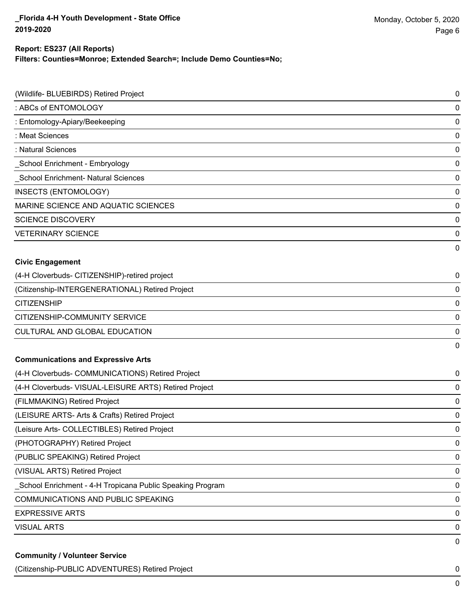# **Report: ES237 (All Reports)**

**Filters: Counties=Monroe; Extended Search=; Include Demo Counties=No;**

| (Wildlife- BLUEBIRDS) Retired Project                     | $\pmb{0}$   |
|-----------------------------------------------------------|-------------|
| : ABCs of ENTOMOLOGY                                      | $\pmb{0}$   |
| : Entomology-Apiary/Beekeeping                            | $\pmb{0}$   |
| : Meat Sciences                                           | $\pmb{0}$   |
| : Natural Sciences                                        | $\pmb{0}$   |
| School Enrichment - Embryology                            | $\pmb{0}$   |
| School Enrichment- Natural Sciences                       | $\pmb{0}$   |
| <b>INSECTS (ENTOMOLOGY)</b>                               | $\pmb{0}$   |
| MARINE SCIENCE AND AQUATIC SCIENCES                       | $\pmb{0}$   |
| <b>SCIENCE DISCOVERY</b>                                  | $\pmb{0}$   |
| <b>VETERINARY SCIENCE</b>                                 | $\pmb{0}$   |
|                                                           | 0           |
| <b>Civic Engagement</b>                                   |             |
| (4-H Cloverbuds- CITIZENSHIP)-retired project             | 0           |
| (Citizenship-INTERGENERATIONAL) Retired Project           | $\pmb{0}$   |
| <b>CITIZENSHIP</b>                                        | $\pmb{0}$   |
| CITIZENSHIP-COMMUNITY SERVICE                             | $\pmb{0}$   |
| CULTURAL AND GLOBAL EDUCATION                             | $\pmb{0}$   |
|                                                           | $\mathbf 0$ |
| <b>Communications and Expressive Arts</b>                 |             |
| (4-H Cloverbuds- COMMUNICATIONS) Retired Project          | 0           |
| (4-H Cloverbuds- VISUAL-LEISURE ARTS) Retired Project     | $\pmb{0}$   |
| (FILMMAKING) Retired Project                              | $\pmb{0}$   |
| (LEISURE ARTS- Arts & Crafts) Retired Project             | $\pmb{0}$   |
| (Leisure Arts- COLLECTIBLES) Retired Project              | $\pmb{0}$   |
| (PHOTOGRAPHY) Retired Project                             | $\pmb{0}$   |
| (PUBLIC SPEAKING) Retired Project                         | $\pmb{0}$   |
| (VISUAL ARTS) Retired Project                             | $\pmb{0}$   |
| School Enrichment - 4-H Tropicana Public Speaking Program | $\pmb{0}$   |
| <b>COMMUNICATIONS AND PUBLIC SPEAKING</b>                 | $\pmb{0}$   |
| <b>EXPRESSIVE ARTS</b>                                    | $\pmb{0}$   |
| <b>VISUAL ARTS</b>                                        | $\pmb{0}$   |
|                                                           | $\pmb{0}$   |
| <b>Community / Volunteer Service</b>                      |             |

(Citizenship-PUBLIC ADVENTURES) Retired Project 0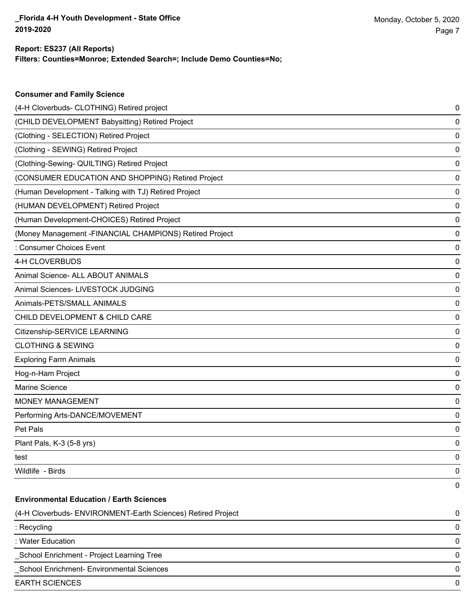**Consumer and Family Science**

#### **Filters: Counties=Monroe; Extended Search=; Include Demo Counties=No; Report: ES237 (All Reports)**

| (CHILD DEVELOPMENT Babysitting) Retired Project<br>(Clothing - SELECTION) Retired Project<br>(Clothing - SEWING) Retired Project<br>(Clothing-Sewing- QUILTING) Retired Project<br>(CONSUMER EDUCATION AND SHOPPING) Retired Project | 0<br>0<br>0<br>0<br>0 |
|--------------------------------------------------------------------------------------------------------------------------------------------------------------------------------------------------------------------------------------|-----------------------|
|                                                                                                                                                                                                                                      |                       |
|                                                                                                                                                                                                                                      |                       |
|                                                                                                                                                                                                                                      |                       |
|                                                                                                                                                                                                                                      |                       |
|                                                                                                                                                                                                                                      |                       |
| (Human Development - Talking with TJ) Retired Project                                                                                                                                                                                | 0                     |
| (HUMAN DEVELOPMENT) Retired Project                                                                                                                                                                                                  | 0                     |
| (Human Development-CHOICES) Retired Project                                                                                                                                                                                          | 0                     |
| (Money Management - FINANCIAL CHAMPIONS) Retired Project                                                                                                                                                                             | 0                     |
| : Consumer Choices Event                                                                                                                                                                                                             | 0                     |
| 4-H CLOVERBUDS                                                                                                                                                                                                                       | 0                     |
| Animal Science- ALL ABOUT ANIMALS                                                                                                                                                                                                    | 0                     |
| Animal Sciences- LIVESTOCK JUDGING                                                                                                                                                                                                   | 0                     |
| Animals-PETS/SMALL ANIMALS                                                                                                                                                                                                           | 0                     |
| CHILD DEVELOPMENT & CHILD CARE                                                                                                                                                                                                       | 0                     |
| Citizenship-SERVICE LEARNING                                                                                                                                                                                                         | 0                     |
| <b>CLOTHING &amp; SEWING</b>                                                                                                                                                                                                         | 0                     |
| <b>Exploring Farm Animals</b>                                                                                                                                                                                                        | 0                     |
| Hog-n-Ham Project                                                                                                                                                                                                                    | 0                     |
| Marine Science                                                                                                                                                                                                                       | 0                     |
| <b>MONEY MANAGEMENT</b>                                                                                                                                                                                                              | 0                     |
| Performing Arts-DANCE/MOVEMENT                                                                                                                                                                                                       | 0                     |
| Pet Pals                                                                                                                                                                                                                             | 0                     |
| Plant Pals, K-3 (5-8 yrs)                                                                                                                                                                                                            | 0                     |
| test                                                                                                                                                                                                                                 | 0                     |
| Wildlife - Birds                                                                                                                                                                                                                     | 0                     |
|                                                                                                                                                                                                                                      | 0                     |
| <b>Environmental Education / Earth Sciences</b>                                                                                                                                                                                      |                       |
| (4-H Cloverbuds- ENVIRONMENT-Earth Sciences) Retired Project                                                                                                                                                                         | 0                     |
| : Recycling                                                                                                                                                                                                                          | 0                     |
| : Water Education                                                                                                                                                                                                                    | 0                     |
| School Enrichment - Project Learning Tree                                                                                                                                                                                            | 0                     |
| School Enrichment- Environmental Sciences                                                                                                                                                                                            | 0                     |
| <b>EARTH SCIENCES</b>                                                                                                                                                                                                                | 0                     |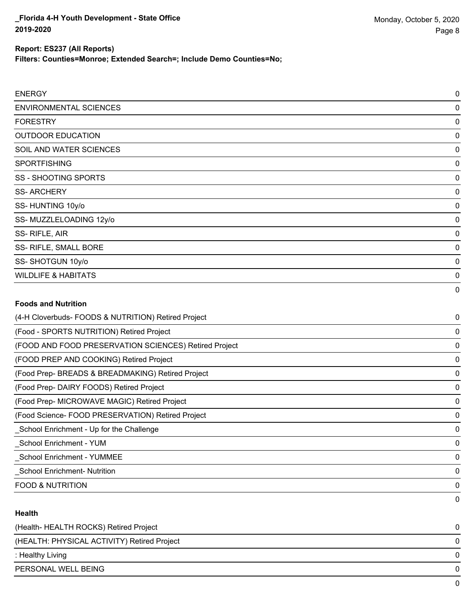**Filters: Counties=Monroe; Extended Search=; Include Demo Counties=No;**

| <b>ENERGY</b>                  | 0        |
|--------------------------------|----------|
| <b>ENVIRONMENTAL SCIENCES</b>  | 0        |
| <b>FORESTRY</b>                | 0        |
| <b>OUTDOOR EDUCATION</b>       | 0        |
| SOIL AND WATER SCIENCES        | 0        |
| <b>SPORTFISHING</b>            | 0        |
| SS - SHOOTING SPORTS           | 0        |
| <b>SS-ARCHERY</b>              | 0        |
| SS-HUNTING 10y/o               | 0        |
| SS-MUZZLELOADING 12y/o         | 0        |
| SS-RIFLE, AIR                  | $\Omega$ |
| SS- RIFLE, SMALL BORE          | 0        |
| SS-SHOTGUN 10y/o               | 0        |
| <b>WILDLIFE &amp; HABITATS</b> | 0        |
|                                | 0        |
| <b>Foods and Nutrition</b>     |          |

# (4-H Cloverbuds- FOODS & NUTRITION) Retired Project 0 (Food - SPORTS NUTRITION) Retired Project 0 (FOOD AND FOOD PRESERVATION SCIENCES) Retired Project 0 (FOOD PREP AND COOKING) Retired Project 0 (Food Prep- BREADS & BREADMAKING) Retired Project 0 (Food Prep- DAIRY FOODS) Retired Project 0 (Food Prep- MICROWAVE MAGIC) Retired Project 0 (Food Science- FOOD PRESERVATION) Retired Project 0 \_School Enrichment - Up for the Challenge 0 \_School Enrichment - YUM 0 \_School Enrichment - YUMMEE 0 \_School Enrichment- Nutrition 0 FOOD & NUTRITION 0 0

#### **Health**

| (Health-HEALTH ROCKS) Retired Project       | 0 |
|---------------------------------------------|---|
| (HEALTH: PHYSICAL ACTIVITY) Retired Project | 0 |
| : Healthy Living                            | 0 |
| PERSONAL WELL BEING                         | 0 |
|                                             | 0 |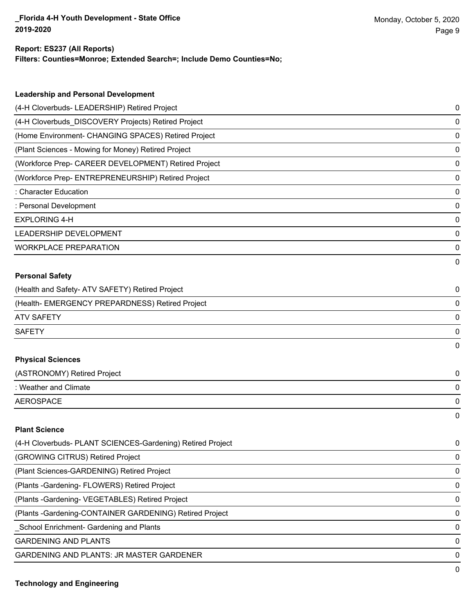#### **Report: ES237 (All Reports)**

**Filters: Counties=Monroe; Extended Search=; Include Demo Counties=No;**

| <b>Leadership and Personal Development</b>                 |   |
|------------------------------------------------------------|---|
| (4-H Cloverbuds- LEADERSHIP) Retired Project               | 0 |
| (4-H Cloverbuds_DISCOVERY Projects) Retired Project        | 0 |
|                                                            |   |
| (Home Environment- CHANGING SPACES) Retired Project        | 0 |
| (Plant Sciences - Mowing for Money) Retired Project        | 0 |
| (Workforce Prep- CAREER DEVELOPMENT) Retired Project       | 0 |
| (Workforce Prep- ENTREPRENEURSHIP) Retired Project         | 0 |
| : Character Education                                      | 0 |
| : Personal Development                                     | 0 |
| <b>EXPLORING 4-H</b>                                       | 0 |
| <b>LEADERSHIP DEVELOPMENT</b>                              | 0 |
| <b>WORKPLACE PREPARATION</b>                               | 0 |
|                                                            | 0 |
| <b>Personal Safety</b>                                     |   |
| (Health and Safety- ATV SAFETY) Retired Project            | 0 |
| (Health- EMERGENCY PREPARDNESS) Retired Project            | 0 |
| <b>ATV SAFETY</b>                                          | 0 |
| <b>SAFETY</b>                                              | 0 |
|                                                            | 0 |
| <b>Physical Sciences</b>                                   |   |
| (ASTRONOMY) Retired Project                                | 0 |
| : Weather and Climate                                      | 0 |
| <b>AEROSPACE</b>                                           | 0 |
|                                                            | 0 |
| <b>Plant Science</b>                                       |   |
| (4-H Cloverbuds- PLANT SCIENCES-Gardening) Retired Project | 0 |
| (GROWING CITRUS) Retired Project                           | 0 |
| (Plant Sciences-GARDENING) Retired Project                 | 0 |
| (Plants - Gardening - FLOWERS) Retired Project             | 0 |
| (Plants - Gardening - VEGETABLES) Retired Project          | 0 |
|                                                            |   |

(Plants -Gardening-CONTAINER GARDENING) Retired Project 0

\_School Enrichment- Gardening and Plants 0

GARDENING AND PLANTS ON A SERIES AND SERIES OF A SERIES OF A SERIES OF A SERIES OF A SERIES OF A SERIES OF A SERIES OF A SERIES OF A SERIES OF A SERIES OF A SERIES OF A SERIES OF A SERIES OF A SERIES OF A SERIES OF A SERIE

GARDENING AND PLANTS: JR MASTER GARDENER 0